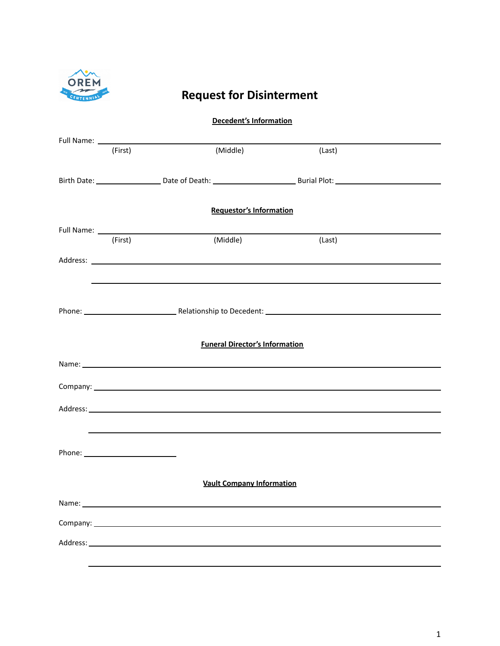

# **Request for Disinterment**

| <b>Decedent's Information</b>         |         |                                                                                                                                                                                                                                |        |  |
|---------------------------------------|---------|--------------------------------------------------------------------------------------------------------------------------------------------------------------------------------------------------------------------------------|--------|--|
|                                       |         |                                                                                                                                                                                                                                |        |  |
|                                       | (First) | (Middle)                                                                                                                                                                                                                       | (Last) |  |
|                                       |         |                                                                                                                                                                                                                                |        |  |
|                                       |         |                                                                                                                                                                                                                                |        |  |
|                                       |         |                                                                                                                                                                                                                                |        |  |
| <b>Requestor's Information</b>        |         |                                                                                                                                                                                                                                |        |  |
|                                       | (First) | (Middle)                                                                                                                                                                                                                       | (Last) |  |
|                                       |         |                                                                                                                                                                                                                                |        |  |
|                                       |         |                                                                                                                                                                                                                                |        |  |
|                                       |         |                                                                                                                                                                                                                                |        |  |
|                                       |         |                                                                                                                                                                                                                                |        |  |
|                                       |         |                                                                                                                                                                                                                                |        |  |
|                                       |         |                                                                                                                                                                                                                                |        |  |
| <b>Funeral Director's Information</b> |         |                                                                                                                                                                                                                                |        |  |
|                                       |         |                                                                                                                                                                                                                                |        |  |
|                                       |         |                                                                                                                                                                                                                                |        |  |
|                                       |         |                                                                                                                                                                                                                                |        |  |
|                                       |         |                                                                                                                                                                                                                                |        |  |
|                                       |         |                                                                                                                                                                                                                                |        |  |
|                                       |         |                                                                                                                                                                                                                                |        |  |
|                                       |         |                                                                                                                                                                                                                                |        |  |
|                                       |         |                                                                                                                                                                                                                                |        |  |
| <b>Vault Company Information</b>      |         |                                                                                                                                                                                                                                |        |  |
|                                       |         | Name: Name and the second state of the second state of the second state of the second state of the second state of the second state of the second state of the second state of the second state of the second state of the sec |        |  |
|                                       |         |                                                                                                                                                                                                                                |        |  |
|                                       |         |                                                                                                                                                                                                                                |        |  |
|                                       |         |                                                                                                                                                                                                                                |        |  |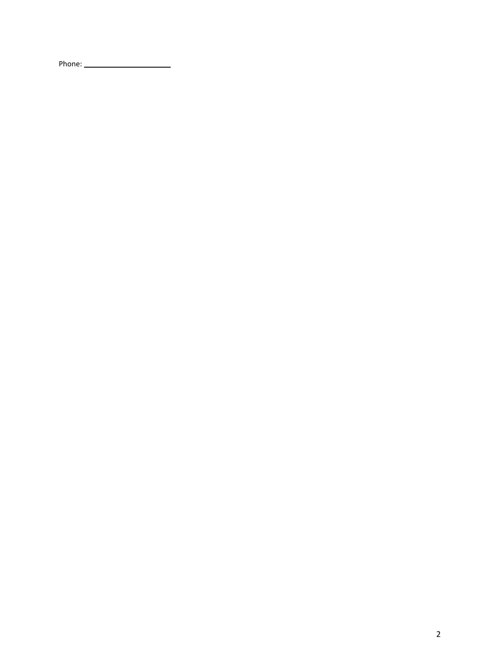Phone: